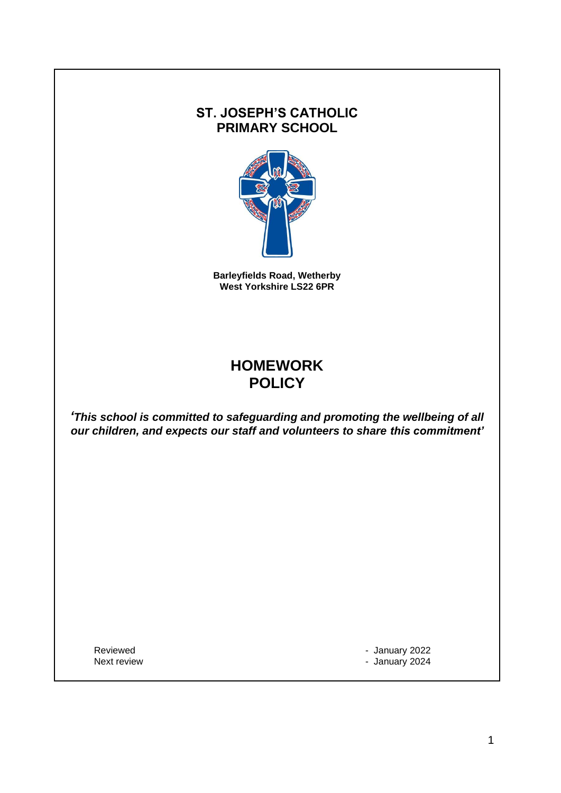### **ST. JOSEPH'S CATHOLIC PRIMARY SCHOOL**



**Barleyfields Road, Wetherby West Yorkshire LS22 6PR**

# **HOMEWORK POLICY**

*'This school is committed to safeguarding and promoting the wellbeing of all our children, and expects our staff and volunteers to share this commitment'*

Reviewed **- January 2022** Next review  $\sim$  1000  $\mu$  and 2024  $\mu$  and 2024  $\mu$  and 2024  $\mu$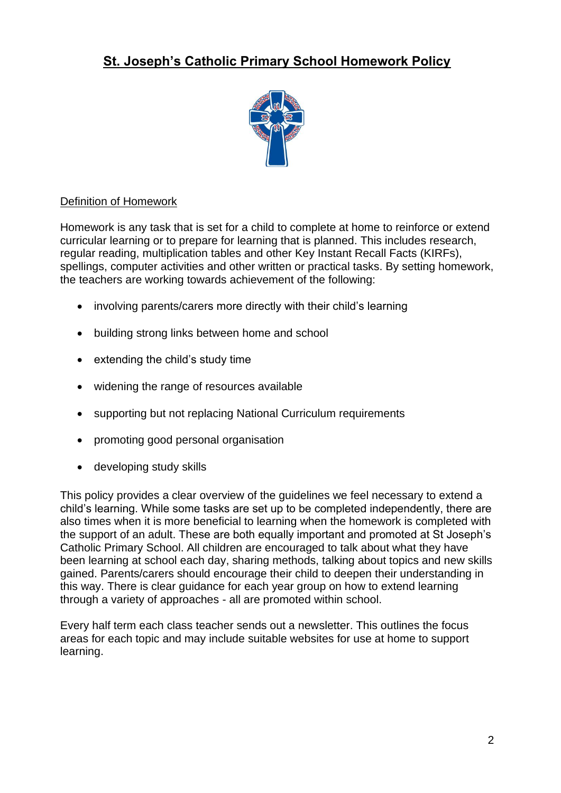# **St. Joseph's Catholic Primary School Homework Policy**



#### Definition of Homework

Homework is any task that is set for a child to complete at home to reinforce or extend curricular learning or to prepare for learning that is planned. This includes research, regular reading, multiplication tables and other Key Instant Recall Facts (KIRFs), spellings, computer activities and other written or practical tasks. By setting homework, the teachers are working towards achievement of the following:

- involving parents/carers more directly with their child's learning
- building strong links between home and school
- extending the child's study time
- widening the range of resources available
- supporting but not replacing National Curriculum requirements
- promoting good personal organisation
- developing study skills

This policy provides a clear overview of the guidelines we feel necessary to extend a child's learning. While some tasks are set up to be completed independently, there are also times when it is more beneficial to learning when the homework is completed with the support of an adult. These are both equally important and promoted at St Joseph's Catholic Primary School. All children are encouraged to talk about what they have been learning at school each day, sharing methods, talking about topics and new skills gained. Parents/carers should encourage their child to deepen their understanding in this way. There is clear guidance for each year group on how to extend learning through a variety of approaches - all are promoted within school.

Every half term each class teacher sends out a newsletter. This outlines the focus areas for each topic and may include suitable websites for use at home to support learning.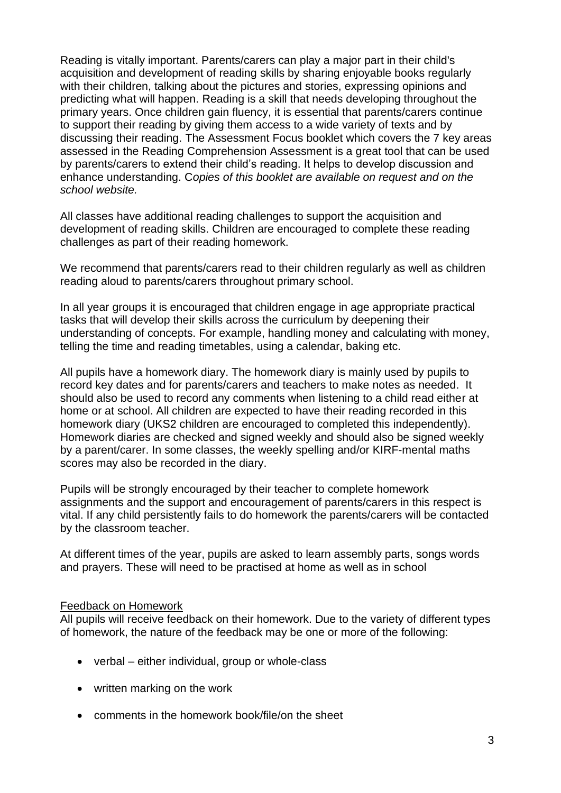Reading is vitally important. Parents/carers can play a major part in their child's acquisition and development of reading skills by sharing enjoyable books regularly with their children, talking about the pictures and stories, expressing opinions and predicting what will happen. Reading is a skill that needs developing throughout the primary years. Once children gain fluency, it is essential that parents/carers continue to support their reading by giving them access to a wide variety of texts and by discussing their reading. The Assessment Focus booklet which covers the 7 key areas assessed in the Reading Comprehension Assessment is a great tool that can be used by parents/carers to extend their child's reading. It helps to develop discussion and enhance understanding. C*opies of this booklet are available on request and on the school website.*

All classes have additional reading challenges to support the acquisition and development of reading skills. Children are encouraged to complete these reading challenges as part of their reading homework.

We recommend that parents/carers read to their children regularly as well as children reading aloud to parents/carers throughout primary school.

In all year groups it is encouraged that children engage in age appropriate practical tasks that will develop their skills across the curriculum by deepening their understanding of concepts. For example, handling money and calculating with money, telling the time and reading timetables, using a calendar, baking etc.

All pupils have a homework diary. The homework diary is mainly used by pupils to record key dates and for parents/carers and teachers to make notes as needed. It should also be used to record any comments when listening to a child read either at home or at school. All children are expected to have their reading recorded in this homework diary (UKS2 children are encouraged to completed this independently). Homework diaries are checked and signed weekly and should also be signed weekly by a parent/carer. In some classes, the weekly spelling and/or KIRF-mental maths scores may also be recorded in the diary.

Pupils will be strongly encouraged by their teacher to complete homework assignments and the support and encouragement of parents/carers in this respect is vital. If any child persistently fails to do homework the parents/carers will be contacted by the classroom teacher.

At different times of the year, pupils are asked to learn assembly parts, songs words and prayers. These will need to be practised at home as well as in school

#### Feedback on Homework

All pupils will receive feedback on their homework. Due to the variety of different types of homework, the nature of the feedback may be one or more of the following:

- verbal either individual, group or whole-class
- written marking on the work
- comments in the homework book/file/on the sheet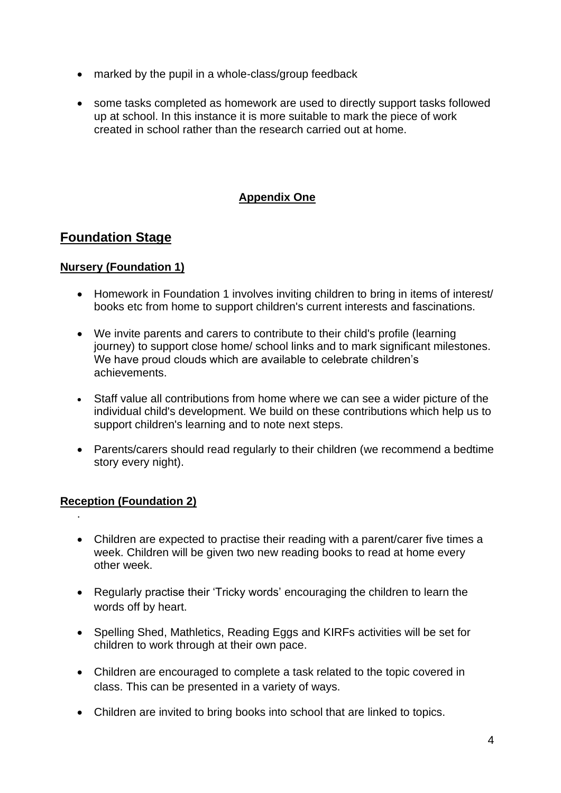- marked by the pupil in a whole-class/group feedback
- some tasks completed as homework are used to directly support tasks followed up at school. In this instance it is more suitable to mark the piece of work created in school rather than the research carried out at home.

### **Appendix One**

## **Foundation Stage**

#### **Nursery (Foundation 1)**

- Homework in Foundation 1 involves inviting children to bring in items of interest/ books etc from home to support children's current interests and fascinations.
- We invite parents and carers to contribute to their child's profile (learning journey) to support close home/ school links and to mark significant milestones. We have proud clouds which are available to celebrate children's achievements.
- Staff value all contributions from home where we can see a wider picture of the individual child's development. We build on these contributions which help us to support children's learning and to note next steps.
- Parents/carers should read regularly to their children (we recommend a bedtime story every night).

#### **Reception (Foundation 2)**

.

- Children are expected to practise their reading with a parent/carer five times a week. Children will be given two new reading books to read at home every other week.
- Regularly practise their 'Tricky words' encouraging the children to learn the words off by heart.
- Spelling Shed, Mathletics, Reading Eggs and KIRFs activities will be set for children to work through at their own pace.
- Children are encouraged to complete a task related to the topic covered in class. This can be presented in a variety of ways.
- Children are invited to bring books into school that are linked to topics.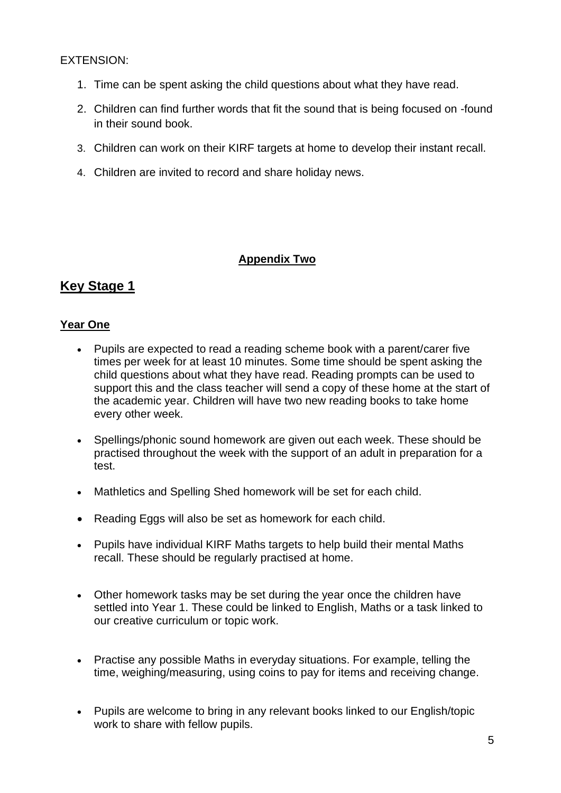#### EXTENSION:

- 1. Time can be spent asking the child questions about what they have read.
- 2. Children can find further words that fit the sound that is being focused on -found in their sound book.
- 3. Children can work on their KIRF targets at home to develop their instant recall.
- 4. Children are invited to record and share holiday news.

### **Appendix Two**

## **Key Stage 1**

#### **Year One**

- Pupils are expected to read a reading scheme book with a parent/carer five times per week for at least 10 minutes. Some time should be spent asking the child questions about what they have read. Reading prompts can be used to support this and the class teacher will send a copy of these home at the start of the academic year. Children will have two new reading books to take home every other week.
- Spellings/phonic sound homework are given out each week. These should be practised throughout the week with the support of an adult in preparation for a test.
- Mathletics and Spelling Shed homework will be set for each child.
- Reading Eggs will also be set as homework for each child.
- Pupils have individual KIRF Maths targets to help build their mental Maths recall. These should be regularly practised at home.
- Other homework tasks may be set during the year once the children have settled into Year 1. These could be linked to English, Maths or a task linked to our creative curriculum or topic work.
- Practise any possible Maths in everyday situations. For example, telling the time, weighing/measuring, using coins to pay for items and receiving change.
- Pupils are welcome to bring in any relevant books linked to our English/topic work to share with fellow pupils.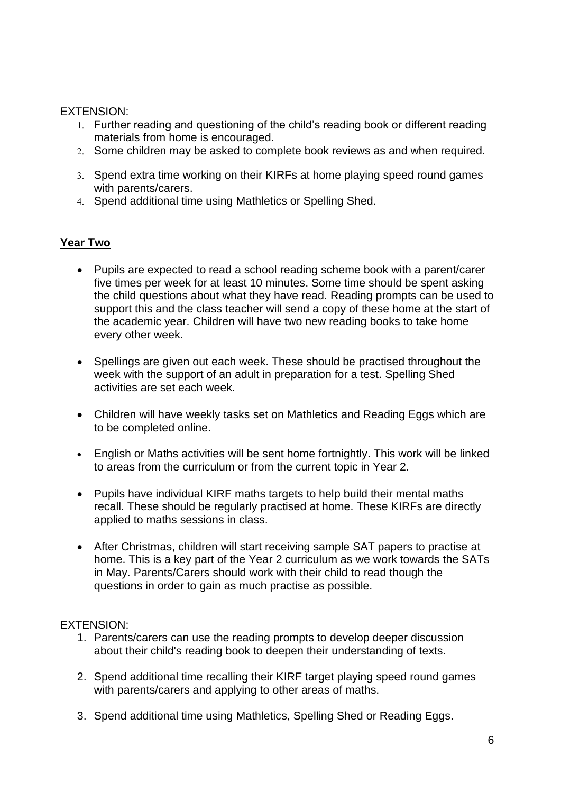#### EXTENSION:

- Further reading and questioning of the child's reading book or different reading materials from home is encouraged.
- 2. Some children may be asked to complete book reviews as and when required.
- 3. Spend extra time working on their KIRFs at home playing speed round games with parents/carers.
- Spend additional time using Mathletics or Spelling Shed.

#### **Year Two**

- Pupils are expected to read a school reading scheme book with a parent/carer five times per week for at least 10 minutes. Some time should be spent asking the child questions about what they have read. Reading prompts can be used to support this and the class teacher will send a copy of these home at the start of the academic year. Children will have two new reading books to take home every other week.
- Spellings are given out each week. These should be practised throughout the week with the support of an adult in preparation for a test. Spelling Shed activities are set each week.
- Children will have weekly tasks set on Mathletics and Reading Eggs which are to be completed online.
- English or Maths activities will be sent home fortnightly. This work will be linked to areas from the curriculum or from the current topic in Year 2.
- Pupils have individual KIRF maths targets to help build their mental maths recall. These should be regularly practised at home. These KIRFs are directly applied to maths sessions in class.
- After Christmas, children will start receiving sample SAT papers to practise at home. This is a key part of the Year 2 curriculum as we work towards the SATs in May. Parents/Carers should work with their child to read though the questions in order to gain as much practise as possible.

- 1. Parents/carers can use the reading prompts to develop deeper discussion about their child's reading book to deepen their understanding of texts.
- 2. Spend additional time recalling their KIRF target playing speed round games with parents/carers and applying to other areas of maths.
- 3. Spend additional time using Mathletics, Spelling Shed or Reading Eggs.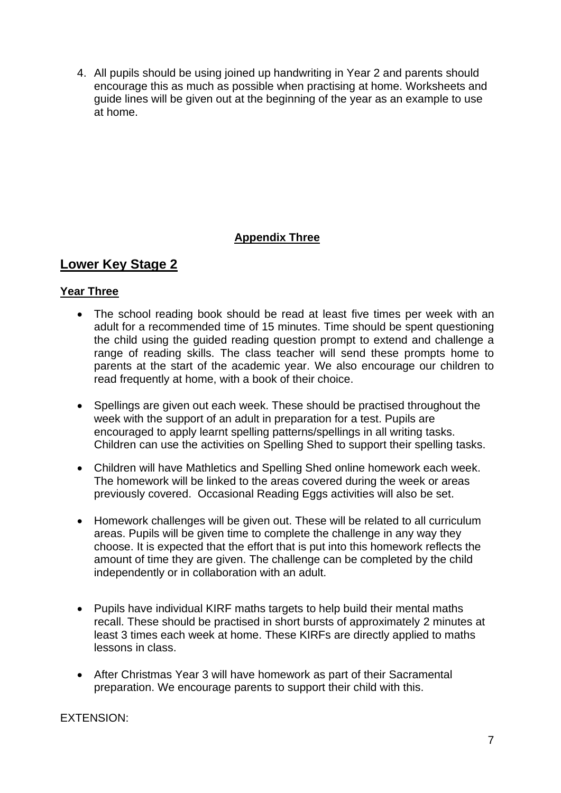4. All pupils should be using joined up handwriting in Year 2 and parents should encourage this as much as possible when practising at home. Worksheets and guide lines will be given out at the beginning of the year as an example to use at home.

### **Appendix Three**

## **Lower Key Stage 2**

#### **Year Three**

- The school reading book should be read at least five times per week with an adult for a recommended time of 15 minutes. Time should be spent questioning the child using the guided reading question prompt to extend and challenge a range of reading skills. The class teacher will send these prompts home to parents at the start of the academic year. We also encourage our children to read frequently at home, with a book of their choice.
- Spellings are given out each week. These should be practised throughout the week with the support of an adult in preparation for a test. Pupils are encouraged to apply learnt spelling patterns/spellings in all writing tasks. Children can use the activities on Spelling Shed to support their spelling tasks.
- Children will have Mathletics and Spelling Shed online homework each week. The homework will be linked to the areas covered during the week or areas previously covered. Occasional Reading Eggs activities will also be set.
- Homework challenges will be given out. These will be related to all curriculum areas. Pupils will be given time to complete the challenge in any way they choose. It is expected that the effort that is put into this homework reflects the amount of time they are given. The challenge can be completed by the child independently or in collaboration with an adult.
- Pupils have individual KIRF maths targets to help build their mental maths recall. These should be practised in short bursts of approximately 2 minutes at least 3 times each week at home. These KIRFs are directly applied to maths lessons in class.
- After Christmas Year 3 will have homework as part of their Sacramental preparation. We encourage parents to support their child with this.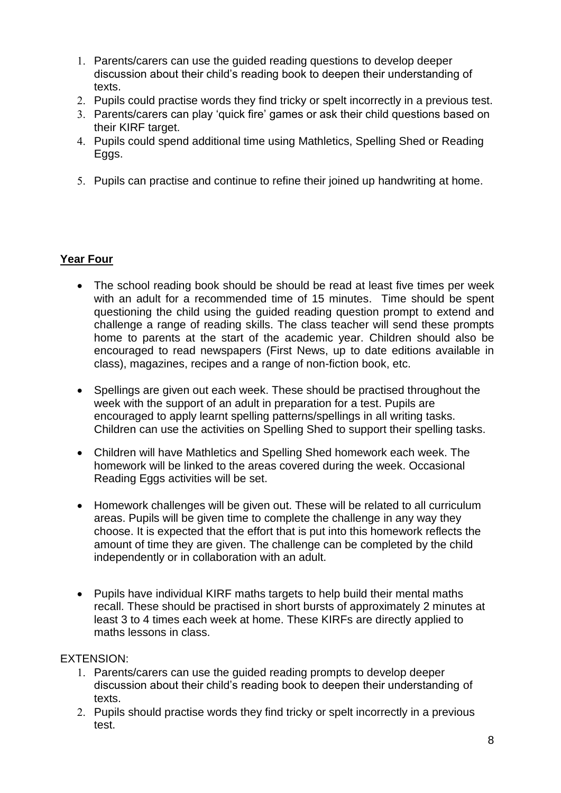- Parents/carers can use the guided reading questions to develop deeper discussion about their child's reading book to deepen their understanding of texts.
- 2. Pupils could practise words they find tricky or spelt incorrectly in a previous test.
- Parents/carers can play 'quick fire' games or ask their child questions based on their KIRF target.
- Pupils could spend additional time using Mathletics, Spelling Shed or Reading Eggs.
- 5. Pupils can practise and continue to refine their joined up handwriting at home.

#### **Year Four**

- The school reading book should be should be read at least five times per week with an adult for a recommended time of 15 minutes. Time should be spent questioning the child using the guided reading question prompt to extend and challenge a range of reading skills. The class teacher will send these prompts home to parents at the start of the academic year. Children should also be encouraged to read newspapers (First News, up to date editions available in class), magazines, recipes and a range of non-fiction book, etc.
- Spellings are given out each week. These should be practised throughout the week with the support of an adult in preparation for a test. Pupils are encouraged to apply learnt spelling patterns/spellings in all writing tasks. Children can use the activities on Spelling Shed to support their spelling tasks.
- Children will have Mathletics and Spelling Shed homework each week. The homework will be linked to the areas covered during the week. Occasional Reading Eggs activities will be set.
- Homework challenges will be given out. These will be related to all curriculum areas. Pupils will be given time to complete the challenge in any way they choose. It is expected that the effort that is put into this homework reflects the amount of time they are given. The challenge can be completed by the child independently or in collaboration with an adult.
- Pupils have individual KIRF maths targets to help build their mental maths recall. These should be practised in short bursts of approximately 2 minutes at least 3 to 4 times each week at home. These KIRFs are directly applied to maths lessons in class.

- Parents/carers can use the guided reading prompts to develop deeper discussion about their child's reading book to deepen their understanding of texts.
- 2. Pupils should practise words they find tricky or spelt incorrectly in a previous test.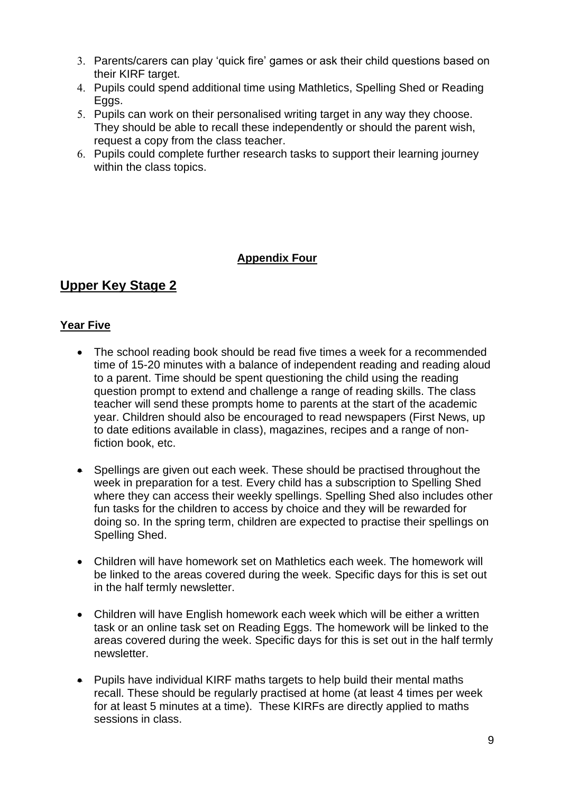- Parents/carers can play 'quick fire' games or ask their child questions based on their KIRF target.
- Pupils could spend additional time using Mathletics, Spelling Shed or Reading Eggs.
- 5. Pupils can work on their personalised writing target in any way they choose. They should be able to recall these independently or should the parent wish, request a copy from the class teacher.
- Pupils could complete further research tasks to support their learning journey within the class topics.

#### **Appendix Four**

## **Upper Key Stage 2**

#### **Year Five**

- The school reading book should be read five times a week for a recommended time of 15-20 minutes with a balance of independent reading and reading aloud to a parent. Time should be spent questioning the child using the reading question prompt to extend and challenge a range of reading skills. The class teacher will send these prompts home to parents at the start of the academic year. Children should also be encouraged to read newspapers (First News, up to date editions available in class), magazines, recipes and a range of nonfiction book, etc.
- Spellings are given out each week. These should be practised throughout the week in preparation for a test. Every child has a subscription to Spelling Shed where they can access their weekly spellings. Spelling Shed also includes other fun tasks for the children to access by choice and they will be rewarded for doing so. In the spring term, children are expected to practise their spellings on Spelling Shed.
- Children will have homework set on Mathletics each week. The homework will be linked to the areas covered during the week. Specific days for this is set out in the half termly newsletter.
- Children will have English homework each week which will be either a written task or an online task set on Reading Eggs. The homework will be linked to the areas covered during the week. Specific days for this is set out in the half termly newsletter.
- Pupils have individual KIRF maths targets to help build their mental maths recall. These should be regularly practised at home (at least 4 times per week for at least 5 minutes at a time). These KIRFs are directly applied to maths sessions in class.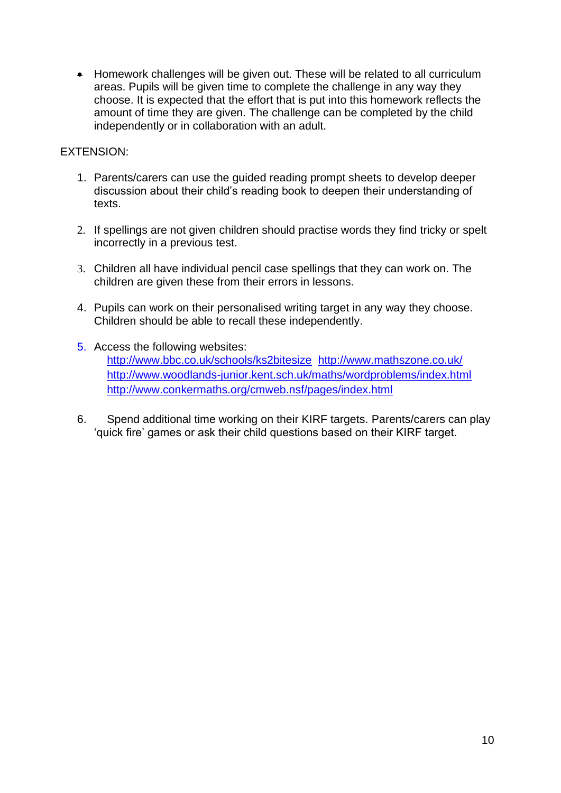• Homework challenges will be given out. These will be related to all curriculum areas. Pupils will be given time to complete the challenge in any way they choose. It is expected that the effort that is put into this homework reflects the amount of time they are given. The challenge can be completed by the child independently or in collaboration with an adult.

- 1. Parents/carers can use the guided reading prompt sheets to develop deeper discussion about their child's reading book to deepen their understanding of texts.
- 2. If spellings are not given children should practise words they find tricky or spelt incorrectly in a previous test.
- 3. Children all have individual pencil case spellings that they can work on. The children are given these from their errors in lessons.
- 4. Pupils can work on their personalised writing target in any way they choose. Children should be able to recall these independently.
- 5. Access the following websites: <http://www.bbc.co.uk/schools/ks2bitesize><http://www.mathszone.co.uk/> <http://www.woodlands-junior.kent.sch.uk/maths/wordproblems/index.html> <http://www.conkermaths.org/cmweb.nsf/pages/index.html>
- 6. Spend additional time working on their KIRF targets. Parents/carers can play 'quick fire' games or ask their child questions based on their KIRF target.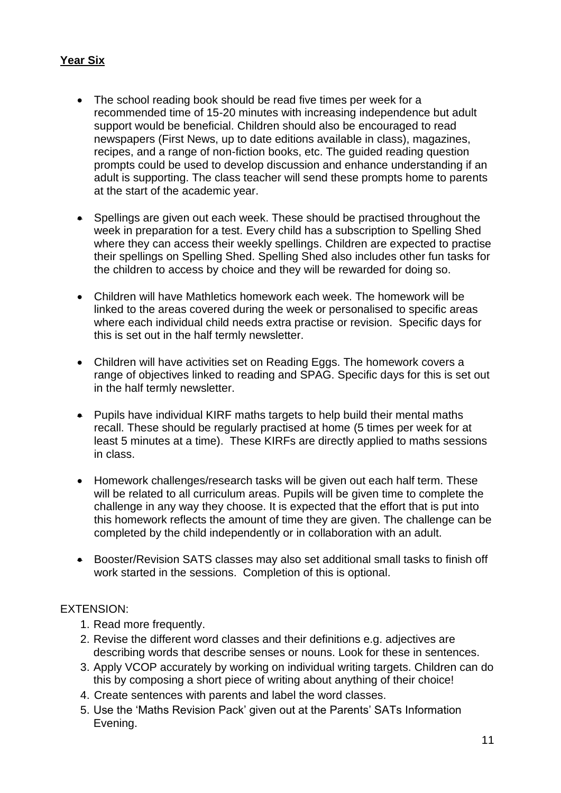#### **Year Six**

- The school reading book should be read five times per week for a recommended time of 15-20 minutes with increasing independence but adult support would be beneficial. Children should also be encouraged to read newspapers (First News, up to date editions available in class), magazines, recipes, and a range of non-fiction books, etc. The guided reading question prompts could be used to develop discussion and enhance understanding if an adult is supporting. The class teacher will send these prompts home to parents at the start of the academic year.
- Spellings are given out each week. These should be practised throughout the week in preparation for a test. Every child has a subscription to Spelling Shed where they can access their weekly spellings. Children are expected to practise their spellings on Spelling Shed. Spelling Shed also includes other fun tasks for the children to access by choice and they will be rewarded for doing so.
- Children will have Mathletics homework each week. The homework will be linked to the areas covered during the week or personalised to specific areas where each individual child needs extra practise or revision. Specific days for this is set out in the half termly newsletter.
- Children will have activities set on Reading Eggs. The homework covers a range of objectives linked to reading and SPAG. Specific days for this is set out in the half termly newsletter.
- Pupils have individual KIRF maths targets to help build their mental maths recall. These should be regularly practised at home (5 times per week for at least 5 minutes at a time). These KIRFs are directly applied to maths sessions in class.
- Homework challenges/research tasks will be given out each half term. These will be related to all curriculum areas. Pupils will be given time to complete the challenge in any way they choose. It is expected that the effort that is put into this homework reflects the amount of time they are given. The challenge can be completed by the child independently or in collaboration with an adult.
- Booster/Revision SATS classes may also set additional small tasks to finish off work started in the sessions. Completion of this is optional.

- 1. Read more frequently.
- 2. Revise the different word classes and their definitions e.g. adjectives are describing words that describe senses or nouns. Look for these in sentences.
- 3. Apply VCOP accurately by working on individual writing targets. Children can do this by composing a short piece of writing about anything of their choice!
- 4. Create sentences with parents and label the word classes.
- 5. Use the 'Maths Revision Pack' given out at the Parents' SATs Information Evening.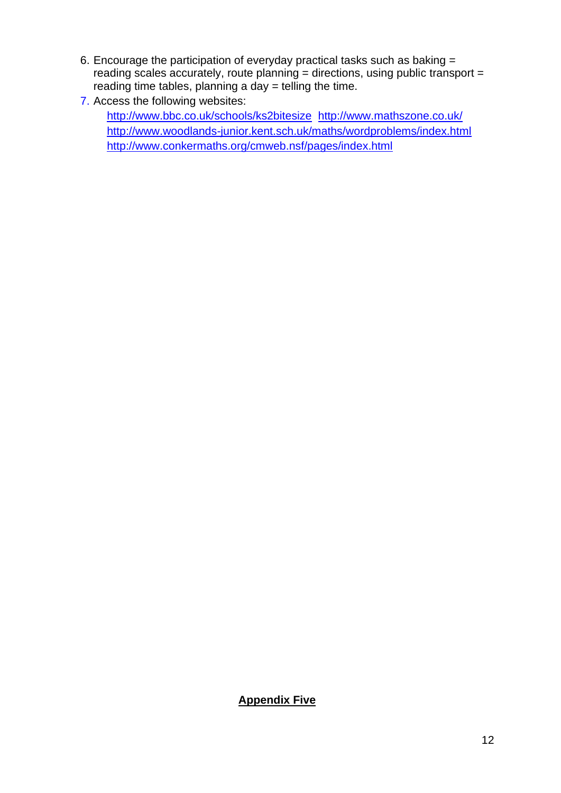- 6. Encourage the participation of everyday practical tasks such as baking = reading scales accurately, route planning  $=$  directions, using public transport  $=$ reading time tables, planning a day  $=$  telling the time.
- 7. Access the following websites:

<http://www.bbc.co.uk/schools/ks2bitesize><http://www.mathszone.co.uk/> <http://www.woodlands-junior.kent.sch.uk/maths/wordproblems/index.html> <http://www.conkermaths.org/cmweb.nsf/pages/index.html>

### **Appendix Five**